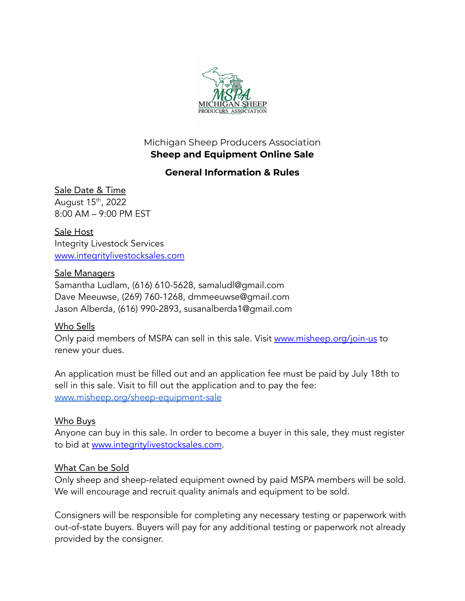

## Michigan Sheep Producers Association **Sheep and Equipment Online Sale**

# **General Information & Rules**

#### Sale Date & Time August 15<sup>th</sup>, 2022

8:00 AM – 9:00 PM EST

Sale Host Integrity Livestock Services [www.integritylivestocksales.com](http://www.integritylivestocksales.com)

## Sale Managers

Samantha Ludlam, (616) 610-5628, samaludl@gmail.com Dave Meeuwse, (269) 760-1268, dmmeeuwse@gmail.com Jason Alberda, (616) 990-2893, susanalberda1@gmail.com

## Who Sells

Only paid members of MSPA can sell in this sale. Visit [www.misheep.org/join-us](http://www.misheep.org/join-us) to renew your dues.

An application must be filled out and an application fee must be paid by July 18th to sell in this sale. Visit to fill out the application and to pay the fee: [www.misheep.org/sheep-equipment-sale](http://www.misheep.org/sheep-equipment-sale)

## Who Buys

Anyone can buy in this sale. In order to become a buyer in this sale, they must register to bid at [www.integritylivestocksales.com](http://www.integritylivestocksales.com).

## What Can be Sold

Only sheep and sheep-related equipment owned by paid MSPA members will be sold. We will encourage and recruit quality animals and equipment to be sold.

Consigners will be responsible for completing any necessary testing or paperwork with out-of-state buyers. Buyers will pay for any additional testing or paperwork not already provided by the consigner.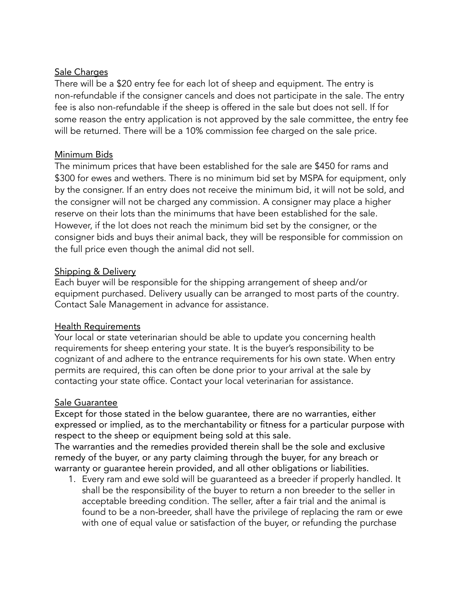### Sale Charges

There will be a \$20 entry fee for each lot of sheep and equipment. The entry is non-refundable if the consigner cancels and does not participate in the sale. The entry fee is also non-refundable if the sheep is offered in the sale but does not sell. If for some reason the entry application is not approved by the sale committee, the entry fee will be returned. There will be a 10% commission fee charged on the sale price.

### Minimum Bids

The minimum prices that have been established for the sale are \$450 for rams and \$300 for ewes and wethers. There is no minimum bid set by MSPA for equipment, only by the consigner. If an entry does not receive the minimum bid, it will not be sold, and the consigner will not be charged any commission. A consigner may place a higher reserve on their lots than the minimums that have been established for the sale. However, if the lot does not reach the minimum bid set by the consigner, or the consigner bids and buys their animal back, they will be responsible for commission on the full price even though the animal did not sell.

#### Shipping & Delivery

Each buyer will be responsible for the shipping arrangement of sheep and/or equipment purchased. Delivery usually can be arranged to most parts of the country. Contact Sale Management in advance for assistance.

### Health Requirements

Your local or state veterinarian should be able to update you concerning health requirements for sheep entering your state. It is the buyer's responsibility to be cognizant of and adhere to the entrance requirements for his own state. When entry permits are required, this can often be done prior to your arrival at the sale by contacting your state office. Contact your local veterinarian for assistance.

### Sale Guarantee

Except for those stated in the below guarantee, there are no warranties, either expressed or implied, as to the merchantability or fitness for a particular purpose with respect to the sheep or equipment being sold at this sale.

The warranties and the remedies provided therein shall be the sole and exclusive remedy of the buyer, or any party claiming through the buyer, for any breach or warranty or guarantee herein provided, and all other obligations or liabilities.

1. Every ram and ewe sold will be guaranteed as a breeder if properly handled. It shall be the responsibility of the buyer to return a non breeder to the seller in acceptable breeding condition. The seller, after a fair trial and the animal is found to be a non-breeder, shall have the privilege of replacing the ram or ewe with one of equal value or satisfaction of the buyer, or refunding the purchase